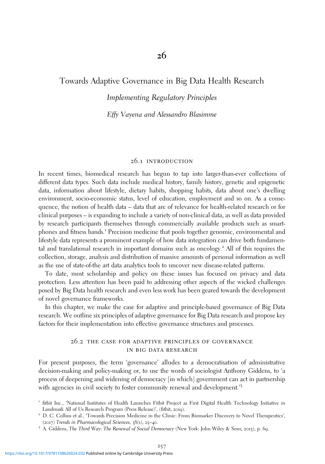# Towards Adaptive Governance in Big Data Health Research

## Implementing Regulatory Principles

#### Effy Vayena and Alessandro Blasimme

#### 26.1 introduction

In recent times, biomedical research has begun to tap into larger-than-ever collections of different data types. Such data include medical history, family history, genetic and epigenetic data, information about lifestyle, dietary habits, shopping habits, data about one's dwelling environment, socio-economic status, level of education, employment and so on. As a consequence, the notion of health data – data that are of relevance for health-related research or for clinical purposes – is expanding to include a variety of non-clinical data, as well as data provided by research participants themselves through commercially available products such as smartphones and fitness bands.<sup>1</sup> Precision medicine that pools together genomic, environmental and lifestyle data represents a prominent example of how data integration can drive both fundamental and translational research in important domains such as oncology.<sup>2</sup> All of this requires the collection, storage, analysis and distribution of massive amounts of personal information as well as the use of state-of-the art data analytics tools to uncover new disease-related patterns.

To date, most scholarship and policy on these issues has focused on privacy and data protection. Less attention has been paid to addressing other aspects of the wicked challenges posed by Big Data health research and even less work has been geared towards the development of novel governance frameworks.

In this chapter, we make the case for adaptive and principle-based governance of Big Data research. We outline six principles of adaptive governance for Big Data research and propose key factors for their implementation into effective governance structures and processes.

#### 26.2 the case for adaptive principles of governance in big data research

For present purposes, the term 'governance' alludes to a democratisation of administrative decision-making and policy-making or, to use the words of sociologist Anthony Giddens, to 'a process of deepening and widening of democracy [in which] government can act in partnership with agencies in civil society to foster community renewal and development.<sup>'3</sup>

- <sup>1</sup> fitbit Inc., 'National Institutes of Health Launches Fitbit Project as First Digital Health Technology Initiative in Landmark All of Us Research Program (Press Release)', (fitbit, <sup>2019</sup>). <sup>2</sup> D. C. Collins et al., 'Towards Precision Medicine in the Clinic: From Biomarker Discovery to Novel Therapeutics',
- (2017) Trends in Pharmacological Sciences, 38(1), 25–40.<br><sup>3</sup> A. Giddens, The Third Way: The Renewal of Social Democracy (New York: John Wiley & Sons, 2013), p. 69.
-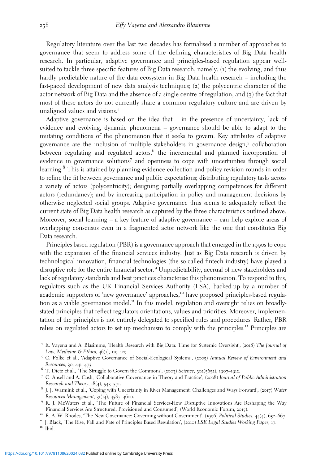Regulatory literature over the last two decades has formalised a number of approaches to governance that seem to address some of the defining characteristics of Big Data health research. In particular, adaptive governance and principles-based regulation appear wellsuited to tackle three specific features of Big Data research, namely: (1) the evolving, and thus hardly predictable nature of the data ecosystem in Big Data health research – including the fast-paced development of new data analysis techniques; (2) the polycentric character of the actor network of Big Data and the absence of a single centre of regulation; and  $(3)$  the fact that most of these actors do not currently share a common regulatory culture and are driven by unaligned values and visions.<sup>4</sup>

Adaptive governance is based on the idea that – in the presence of uncertainty, lack of evidence and evolving, dynamic phenomena – governance should be able to adapt to the mutating conditions of the phenomenon that it seeks to govern. Key attributes of adaptive governance are the inclusion of multiple stakeholders in governance design, $5$  collaboration between regulating and regulated actors, $6$  the incremental and planned incorporation of evidence in governance solutions<sup>7</sup> and openness to cope with uncertainties through social learning.<sup>8</sup> This is attained by planning evidence collection and policy revision rounds in order to refine the fit between governance and public expectations; distributing regulatory tasks across a variety of actors (polycentricity); designing partially overlapping competences for different actors (redundancy); and by increasing participation in policy and management decisions by otherwise neglected social groups. Adaptive governance thus seems to adequately reflect the current state of Big Data health research as captured by the three characteristics outlined above. Moreover, social learning – a key feature of adaptive governance – can help explore areas of overlapping consensus even in a fragmented actor network like the one that constitutes Big Data research.

Principles based regulation (PBR) is a governance approach that emerged in the 1990s to cope with the expansion of the financial services industry. Just as Big Data research is driven by technological innovation, financial technologies (the so-called fintech industry) have played a disruptive role for the entire financial sector.<sup>9</sup> Unpredictability, accrual of new stakeholders and lack of regulatory standards and best practices characterise this phenomenon. To respond to this, regulators such as the UK Financial Services Authority (FSA), backed-up by a number of academic supporters of 'new governance' approaches,<sup>10</sup> have proposed principles-based regulation as a viable governance model.<sup>11</sup> In this model, regulation and oversight relies on broadlystated principles that reflect regulators orientations, values and priorities. Moreover, implementation of the principles is not entirely delegated to specified rules and procedures. Rather, PBR relies on regulated actors to set up mechanism to comply with the principles.<sup>12</sup> Principles are

<sup>4</sup> E. Vayena and A. Blasimme, 'Health Research with Big Data: Time for Systemic Oversight', (2018) The Journal of Law, Medicine  $\mathfrak{G}$  Ethics, 46(1), 119–129.<br><sup>5</sup> C. Folke et al., 'Adaptive Governance of Social-Ecological Systems', (2005) Annual Review of Environment and

Resources, 30, 441-473.<br>
<sup>6</sup> T. Dietz et al., 'The Struggle to Govern the Commons', (2003) Science, 302(5652), 1907–1912.<br>
<sup>7</sup> C. Ansell and A. Gash, 'Collaborative Governance in Theory and Practice', (2008) Journal of Pub

Research and Theory, 18(4), 543–571.<br><sup>8</sup> J. J. Warmink et al., 'Coping with Uncertainty in River Management: Challenges and Ways Forward', (2017) Water<br>Resources Management, 31(14), 4587–4600.

<sup>&</sup>lt;sup>9</sup> R. J. McWaters et al., 'The Future of Financial Services-How Disruptive Innovations Are Reshaping the Way Financial Services Are Structured, Provisioned and Consumed', (World Economic Forum, 2015).

<sup>&</sup>lt;sup>10</sup> R. A. W. Rhodes, 'The New Governance: Governing without Government', (1996) Political Studies, 44(4), 652–667.<br><sup>11</sup> J. Black, 'The Rise, Fall and Fate of Principles Based Regulation', (2010) LSE Legal Studies Working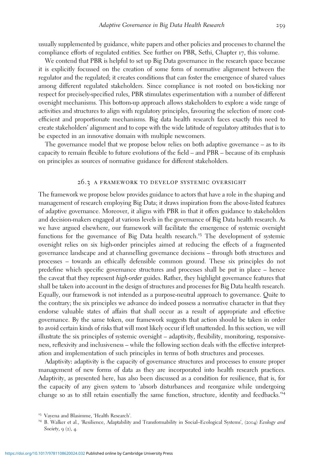usually supplemented by guidance, white papers and other policies and processes to channel the compliance efforts of regulated entities. See further on PBR, Sethi, Chapter 17, this volume.

We contend that PBR is helpful to set up Big Data governance in the research space because it is explicitly focussed on the creation of some form of normative alignment between the regulator and the regulated; it creates conditions that can foster the emergence of shared values among different regulated stakeholders. Since compliance is not rooted on box-ticking nor respect for precisely-specified rules, PBR stimulates experimentation with a number of different oversight mechanisms. This bottom-up approach allows stakeholders to explore a wide range of activities and structures to align with regulatory principles, favouring the selection of more costefficient and proportionate mechanisms. Big data health research faces exactly this need to create stakeholders' alignment and to cope with the wide latitude of regulatory attitudes that is to be expected in an innovative domain with multiple newcomers.

The governance model that we propose below relies on both adaptive governance – as to its capacity to remain flexible to future evolutions of the field – and PBR – because of its emphasis on principles as sources of normative guidance for different stakeholders.

#### 26.3 a framework to develop systemic oversight

The framework we propose below provides guidance to actors that have a role in the shaping and management of research employing Big Data; it draws inspiration from the above-listed features of adaptive governance. Moreover, it aligns with PBR in that it offers guidance to stakeholders and decision-makers engaged at various levels in the governance of Big Data health research. As we have argued elsewhere, our framework will facilitate the emergence of systemic oversight functions for the governance of Big Data health research.<sup>13</sup> The development of systemic oversight relies on six high-order principles aimed at reducing the effects of a fragmented governance landscape and at channelling governance decisions – through both structures and processes – towards an ethically defensible common ground. These six principles do not predefine which specific governance structures and processes shall be put in place – hence the caveat that they represent high-order guides. Rather, they highlight governance features that shall be taken into account in the design of structures and processes for Big Data health research. Equally, our framework is not intended as a purpose-neutral approach to governance. Quite to the contrary; the six principles we advance do indeed possess a normative character in that they endorse valuable states of affairs that shall occur as a result of appropriate and effective governance. By the same token, our framework suggests that action should be taken in order to avoid certain kinds of risks that will most likely occur if left unattended. In this section, we will illustrate the six principles of systemic oversight – adaptivity, flexibility, monitoring, responsiveness, reflexivity and inclusiveness – while the following section deals with the effective interpretation and implementation of such principles in terms of both structures and processes.

Adaptivity**:** adaptivity is the capacity of governance structures and processes to ensure proper management of new forms of data as they are incorporated into health research practices. Adaptivity, as presented here, has also been discussed as a condition for resilience, that is, for the capacity of any given system to 'absorb disturbances and reorganize while undergoing change so as to still retain essentially the same function, structure, identity and feedbacks.<sup>14</sup>

<sup>&</sup>lt;sup>13</sup> Vayena and Blasimme, 'Health Research'.<br><sup>14</sup> B. Walker et al., 'Resilience, Adaptability and Transformability in Social–Ecological Systems', (2004) *Ecology and* Society,  $9(2)$ , 4.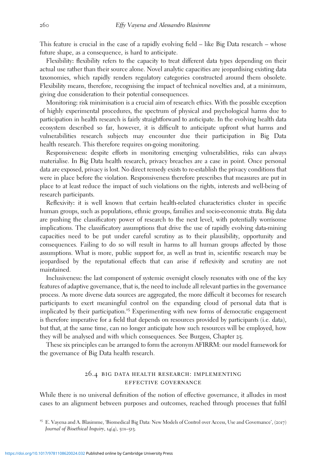This feature is crucial in the case of a rapidly evolving field – like Big Data research – whose future shape, as a consequence, is hard to anticipate.

Flexibility**:** flexibility refers to the capacity to treat different data types depending on their actual use rather than their source alone. Novel analytic capacities are jeopardising existing data taxonomies, which rapidly renders regulatory categories constructed around them obsolete. Flexibility means, therefore, recognising the impact of technical novelties and, at a minimum, giving due consideration to their potential consequences.

Monitoring**:** risk minimisation is a crucial aim of research ethics. With the possible exception of highly experimental procedures, the spectrum of physical and psychological harms due to participation in health research is fairly straightforward to anticipate. In the evolving health data ecosystem described so far, however, it is difficult to anticipate upfront what harms and vulnerabilities research subjects may encounter due their participation in Big Data health research. This therefore requires on-going monitoring.

Responsiveness**:** despite efforts in monitoring emerging vulnerabilities, risks can always materialise. In Big Data health research, privacy breaches are a case in point. Once personal data are exposed, privacy is lost. No direct remedy exists to re-establish the privacy conditions that were in place before the violation. Responsiveness therefore prescribes that measures are put in place to at least reduce the impact of such violations on the rights, interests and well-being of research participants.

Reflexivity**:** it is well known that certain health-related characteristics cluster in specifi<sup>c</sup> human groups, such as populations, ethnic groups, families and socio-economic strata. Big data are pushing the classificatory power of research to the next level, with potentially worrisome implications. The classificatory assumptions that drive the use of rapidly evolving data-mining capacities need to be put under careful scrutiny as to their plausibility, opportunity and consequences. Failing to do so will result in harms to all human groups affected by those assumptions. What is more, public support for, as well as trust in, scientific research may be jeopardised by the reputational effects that can arise if reflexivity and scrutiny are not maintained.

Inclusiveness**:** the last component of systemic oversight closely resonates with one of the key features of adaptive governance, that is, the need to include all relevant parties in the governance process. As more diverse data sources are aggregated, the more difficult it becomes for research participants to exert meaningful control on the expanding cloud of personal data that is implicated by their participation.<sup>15</sup> Experimenting with new forms of democratic engagement is therefore imperative for a field that depends on resources provided by participants (i.e. data), but that, at the same time, can no longer anticipate how such resources will be employed, how they will be analysed and with which consequences. See Burgess, Chapter 25.

These six principles can be arranged to form the acronym AFIRRM: our model framework for the governance of Big Data health research.

## 26.4 big data health research: implementing effective governance

While there is no universal definition of the notion of effective governance, it alludes in most cases to an alignment between purposes and outcomes, reached through processes that fulfil

<sup>&</sup>lt;sup>15</sup> E. Vayena and A. Blasimme, 'Biomedical Big Data: New Models of Control over Access, Use and Governance', (2017) Journal of Bioethical Inquiry, 14(4), 501–513.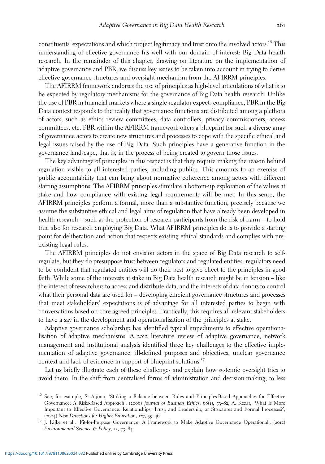constituents' expectations and which project legitimacy and trust onto the involved actors.<sup>16</sup> This understanding of effective governance fits well with our domain of interest: Big Data health research. In the remainder of this chapter, drawing on literature on the implementation of adaptive governance and PBR, we discuss key issues to be taken into account in trying to derive effective governance structures and oversight mechanism from the AFIRRM principles.

The AFIRRM framework endorses the use of principles as high-level articulations of what is to be expected by regulatory mechanisms for the governance of Big Data health research. Unlike the use of PBR in financial markets where a single regulator expects compliance, PBR in the Big Data context responds to the reality that governance functions are distributed among a plethora of actors, such as ethics review committees, data controllers, privacy commissioners, access committees, etc. PBR within the AFIRRM framework offers a blueprint for such a diverse array of governance actors to create new structures and processes to cope with the specific ethical and legal issues raised by the use of Big Data. Such principles have a generative function in the governance landscape, that is, in the process of being created to govern those issues.

The key advantage of principles in this respect is that they require making the reason behind regulation visible to all interested parties, including publics. This amounts to an exercise of public accountability that can bring about normative coherence among actors with different starting assumptions. The AFIRRM principles stimulate a bottom-up exploration of the values at stake and how compliance with existing legal requirements will be met. In this sense, the AFIRRM principles perform a formal, more than a substantive function, precisely because we assume the substantive ethical and legal aims of regulation that have already been developed in health research – such as the protection of research participants from the risk of harm – to hold true also for research employing Big Data. What AFIRRM principles do is to provide a starting point for deliberation and action that respects existing ethical standards and complies with preexisting legal rules.

The AFIRRM principles do not envision actors in the space of Big Data research to selfregulate, but they do presuppose trust between regulators and regulated entities: regulators need to be confident that regulated entities will do their best to give effect to the principles in good faith. While some of the interests at stake in Big Data health research might be in tension – like the interest of researchers to access and distribute data, and the interests of data donors to control what their personal data are used for – developing efficient governance structures and processes that meet stakeholders' expectations is of advantage for all interested parties to begin with conversations based on core agreed principles. Practically, this requires all relevant stakeholders to have a say in the development and operationalisation of the principles at stake.

Adaptive governance scholarship has identified typical impediments to effective operationalisation of adaptive mechanisms. A 2012 literature review of adaptive governance, network management and institutional analysis identified three key challenges to the effective implementation of adaptive governance: ill-defined purposes and objectives, unclear governance context and lack of evidence in support of blueprint solutions.<sup>17</sup>

Let us briefly illustrate each of these challenges and explain how systemic oversight tries to avoid them. In the shift from centralised forms of administration and decision-making, to less

<sup>&</sup>lt;sup>16</sup> See, for example, S. Arjoon, 'Striking a Balance between Rules and Principles-Based Approaches for Effective Governance: A Risks-Based Approach', (2006) Journal of Business Ethics, 68(1), 53–82; A. Kezar, 'What Is More Important to Effective Governance: Relationships, Trust, and Leadership, or Structures and Formal Processes?', (2004) New Directions for Higher Education, 127, 35–46.<br><sup>17</sup> J. Rijke et al., 'Fit-for-Purpose Governance: A Framework to Make Adaptive Governance Operational', (2012)

Environmental Science & Policy, 22, 73-84.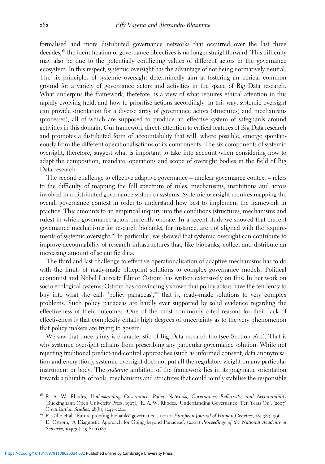formalised and more distributed governance networks that occurred over the last three decades,<sup>18</sup> the identification of governance objectives is no longer straightforward. This difficulty may also be due to the potentially conflicting values of different actors in the governance ecosystem. In this respect, systemic oversight has the advantage of not being normatively neutral. The six principles of systemic oversight determinedly aim at fostering an ethical common ground for a variety of governance actors and activities in the space of Big Data research. What underpins the framework, therefore, is a view of what requires ethical attention in this rapidly evolving field, and how to prioritise actions accordingly. In this way, systemic oversight can provide orientation for a diverse array of governance actors (structures) and mechanisms (processes), all of which are supposed to produce an effective system of safeguards around activities in this domain. Our framework directs attention to critical features of Big Data research and promotes a distributed form of accountability that will, where possible, emerge spontaneously from the different operationalisations of its components. The six components of systemic oversight, therefore, suggest what is important to take into account when considering how to adapt the composition, mandate, operations and scope of oversight bodies in the field of Big Data research.

The second challenge to effective adaptive governance – unclear governance context – refers to the difficulty of mapping the full spectrum of rules, mechanisms, institutions and actors involved in a distributed governance system or systems. Systemic oversight requires mapping the overall governance context in order to understand how best to implement the framework in practice. This amounts to an empirical inquiry into the conditions (structures, mechanisms and rules) in which governance actors currently operate. In a recent study we showed that current governance mechanisms for research biobanks, for instance, are not aligned with the requirements of systemic oversight.<sup>19</sup> In particular, we showed that systemic oversight can contribute to improve accountability of research infrastructures that, like biobanks, collect and distribute an increasing amount of scientific data.

The third and last challenge to effective operationalisation of adaptive mechanisms has to do with the limits of ready-made blueprint solutions to complex governance models. Political economist and Nobel Laureate Elinor Ostrom has written extensively on this. In her work on socio-ecological systems, Ostrom has convincingly shown that policy actors have the tendency to buy into what she calls 'policy panaceas',<sup>20</sup> that is, ready-made solutions to very complex problems. Such policy panaceas are hardly ever supported by solid evidence regarding the effectiveness of their outcomes. One of the most commonly cited reasons for their lack of effectiveness is that complexity entails high degrees of uncertainty as to the very phenomenon that policy makers are trying to govern.

We saw that uncertainty is characteristic of Big Data research too (see Section 26.2). That is why systemic oversight refrains from prescribing any particular governance solution. While not rejecting traditional predict-and-control approaches (such as informed consent, data anonymisation and encryption), systemic oversight does not put all the regulatory weight on any particular instrument or body. The systemic ambition of the framework lies in its pragmatic orientation towards a plurality of tools, mechanisms and structures that could jointly stabilise the responsible

<sup>&</sup>lt;sup>18</sup> R. A. W. Rhodes, Understanding Governance: Policy Networks, Governance, Reflexivity, and Accountability (Buckingham: Open University Press, 1997); R. A. W. Rhodes, 'Understanding Governance: Ten Years On', (2007)<br>Organization Studies, 28(8), 1243-1264.

<sup>&</sup>lt;sup>19</sup> F. Gille et al. 'Future-proofing biobanks' governance', (2020) *European Journal of Human Genetics*, 28, 989–996.<br><sup>20</sup> E. Ostrom, 'A Diagnostic Approach for Going beyond Panaceas', (2007) Proceedings of the National

Sciences, 104(39), 15181-15187.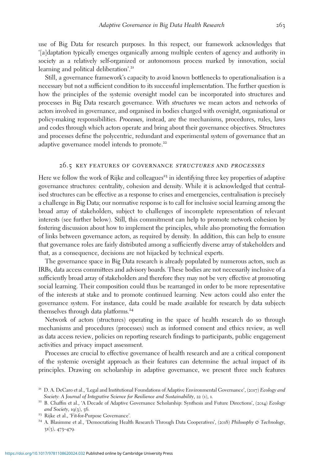use of Big Data for research purposes. In this respect, our framework acknowledges that '[a]daptation typically emerges organically among multiple centers of agency and authority in society as a relatively self-organized or autonomous process marked by innovation, social learning and political deliberation'.<sup>21</sup>

Still, a governance framework's capacity to avoid known bottlenecks to operationalisation is a necessary but not a sufficient condition to its successful implementation. The further question is how the principles of the systemic oversight model can be incorporated into structures and processes in Big Data research governance. With structures we mean actors and networks of actors involved in governance, and organised in bodies charged with oversight, organisational or policy-making responsibilities. Processes, instead, are the mechanisms, procedures, rules, laws and codes through which actors operate and bring about their governance objectives. Structures and processes define the polycentric, redundant and experimental system of governance that an adaptive governance model intends to promote.<sup>22</sup>

#### 26.5 key features of governance structures and processes

Here we follow the work of Rijke and colleagues<sup>23</sup> in identifying three key properties of adaptive governance structures: centrality, cohesion and density. While it is acknowledged that centralised structures can be effective as a response to crises and emergencies, centralisation is precisely a challenge in Big Data; our normative response is to call for inclusive social learning among the broad array of stakeholders, subject to challenges of incomplete representation of relevant interests (see further below). Still, this commitment can help to promote network cohesion by fostering discussion about how to implement the principles, while also promoting the formation of links between governance actors, as required by density. In addition, this can help to ensure that governance roles are fairly distributed among a sufficiently diverse array of stakeholders and that, as a consequence, decisions are not hijacked by technical experts.

The governance space in Big Data research is already populated by numerous actors, such as IRBs, data access committees and advisory boards. These bodies are not necessarily inclusive of a sufficiently broad array of stakeholders and therefore they may not be very effective at promoting social learning. Their composition could thus be rearranged in order to be more representative of the interests at stake and to promote continued learning. New actors could also enter the governance system. For instance, data could be made available for research by data subjects themselves through data platforms.<sup>24</sup>

Network of actors (structures) operating in the space of health research do so through mechanisms and procedures (processes) such as informed consent and ethics review, as well as data access review, policies on reporting research findings to participants, public engagement activities and privacy impact assessment.

Processes are crucial to effective governance of health research and are a critical component of the systemic oversight approach as their features can determine the actual impact of its principles. Drawing on scholarship in adaptive governance, we present three such features

<sup>&</sup>lt;sup>21</sup> D. A. DeCaro et al., 'Legal and Institutional Foundations of Adaptive Environmental Governance',  $(2017)$  Ecology and Society: A Journal of Integrative Science for Resilience and Sustainability, 22 (1), 1.<br><sup>22</sup> B. Chaffin et al., 'A Decade of Adaptive Governance Scholarship: Synthesis and Future Directions', (2014) Ecology

and Society, 19(3), 56.<br><sup>23</sup> Rijke et al., 'Fit-for-Purpose Governance'.<br><sup>24</sup> A. Blasimme et al., 'Democratizing Health Research Through Data Cooperatives', (2018) *Philosophy & Technology*,

<sup>31</sup>(3), 473–479.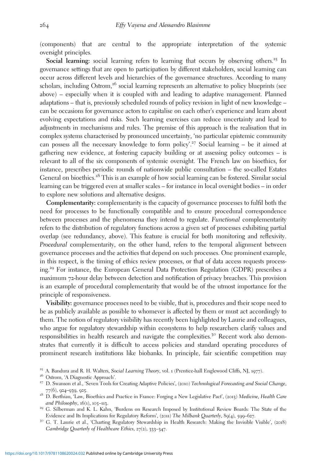(components) that are central to the appropriate interpretation of the systemic oversight principles.

**Social learning:** social learning refers to learning that occurs by observing others.<sup>25</sup> In governance settings that are open to participation by different stakeholders, social learning can occur across different levels and hierarchies of the governance structures. According to many scholars, including Ostrom,<sup>26</sup> social learning represents an alternative to policy blueprints (see above) – especially when it is coupled with and leading to adaptive management. Planned adaptations – that is, previously scheduled rounds of policy revision in light of new knowledge – can be occasions for governance actors to capitalise on each other's experience and learn about evolving expectations and risks. Such learning exercises can reduce uncertainty and lead to adjustments in mechanisms and rules. The premise of this approach is the realisation that in complex systems characterised by pronounced uncertainty, 'no particular epistemic community can possess all the necessary knowledge to form policy'. <sup>27</sup> Social learning – be it aimed at gathering new evidence, at fostering capacity building or at assessing policy outcomes – is relevant to all of the six components of systemic oversight. The French law on bioethics, for instance, prescribes periodic rounds of nationwide public consultation – the so-called Estates General on bioethics.<sup>28</sup> This is an example of how social learning can be fostered. Similar social learning can be triggered even at smaller scales – for instance in local oversight bodies – in order to explore new solutions and alternative designs.

**Complementarity:** complementarity is the capacity of governance processes to fulfil both the need for processes to be functionally compatible and to ensure procedural correspondence between processes and the phenomena they intend to regulate. Functional complementarity refers to the distribution of regulatory functions across a given set of processes exhibiting partial overlap (see redundancy, above). This feature is crucial for both monitoring and reflexivity. Procedural complementarity, on the other hand, refers to the temporal alignment between governance processes and the activities that depend on such processes. One prominent example, in this respect, is the timing of ethics review processes, or that of data access requests processing.<sup>29</sup> For instance, the European General Data Protection Regulation (GDPR) prescribes a maximum 72-hour delay between detection and notification of privacy breaches. This provision is an example of procedural complementarity that would be of the utmost importance for the principle of responsiveness.

**Visibility:** governance processes need to be visible, that is, procedures and their scope need to be as publicly available as possible to whomever is affected by them or must act accordingly to them. The notion of regulatory visibility has recently been highlighted by Laurie and colleagues, who argue for regulatory stewardship within ecosystems to help researchers clarify values and responsibilities in health research and navigate the complexities.<sup>30</sup> Recent work also demonstrates that currently it is difficult to access policies and standard operating procedures of prominent research institutions like biobanks. In principle, fair scientific competition may

- Evidence and Its Implications for Regulatory Reform', (2011) The Milbank Quarterly, 89(4), 599–627.<br><sup>30</sup> G. T. Laurie et al., 'Charting Regulatory Stewardship in Health Research: Making the Invisible Visible', (2018)
- Cambridge Quarterly of Healthcare Ethics, 27(2), 333–347.

<sup>&</sup>lt;sup>25</sup> A. Bandura and R. H. Walters, *Social Learning Theory*, vol. 1 (Prentice-hall Englewood Cliffs, NJ, 1977).<br><sup>26</sup> Ostrom, 'A Diagnostic Approach'.<br><sup>27</sup> D. Swanson et al., 'Seven Tools for Creating Adaptive Policies', (2

<sup>77(6), 924–939, 925.&</sup>lt;br><sup>28</sup> D. Berthiau, 'Law, Bioethics and Practice in France: Forging a New Legislative Pact', (2013) Medicine, Health Care and Philosophy, 16(1), 105–113.<br><sup>29</sup> G. Silberman and K. L. Kahn, 'Burdens on Research Imposed by Institutional Review Boards: The State of the